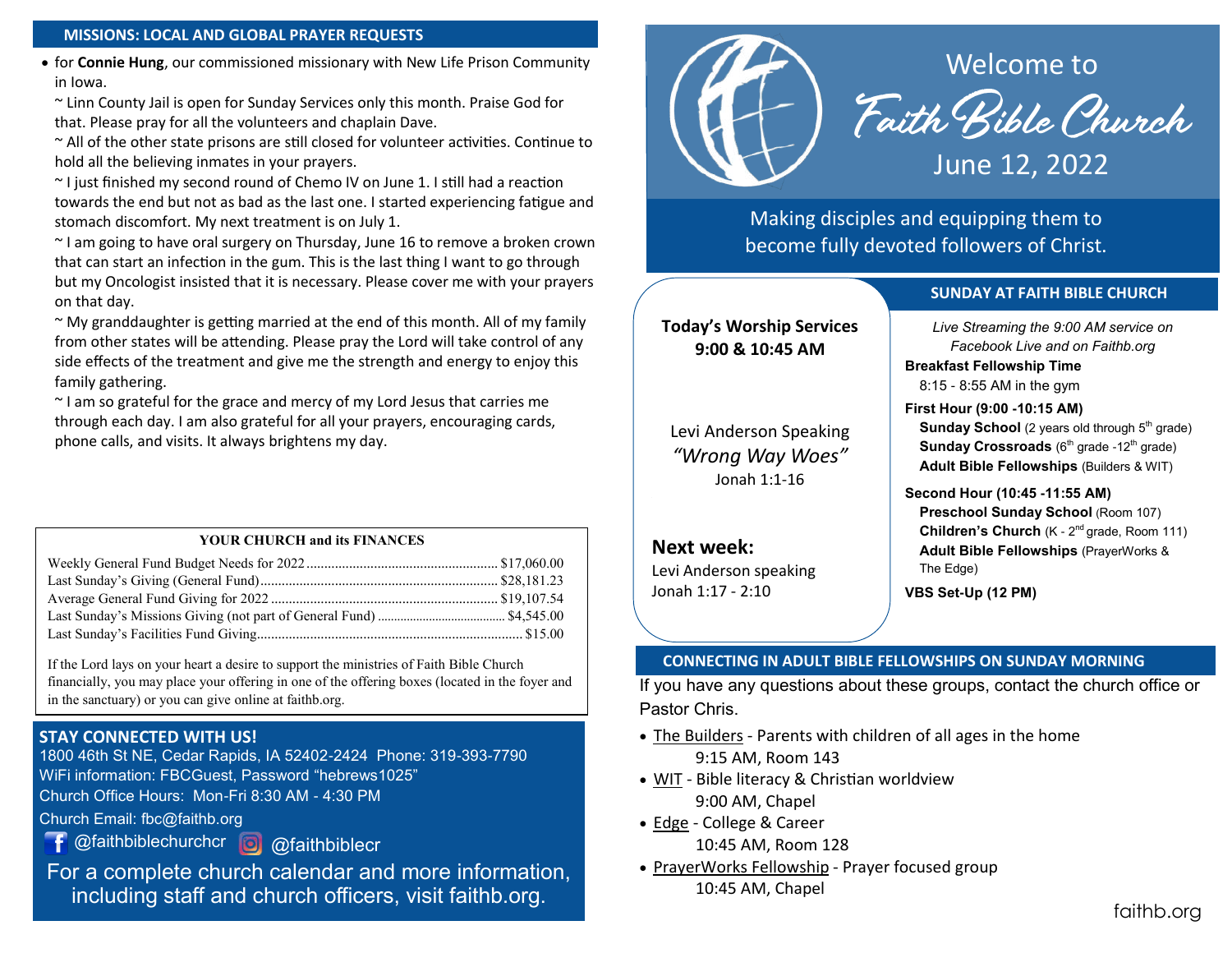#### **MISSIONS: LOCAL AND GLOBAL PRAYER REQUESTS**

• for **Connie Hung**, our commissioned missionary with New Life Prison Community in Iowa.

~ Linn County Jail is open for Sunday Services only this month. Praise God for that. Please pray for all the volunteers and chaplain Dave.

~ All of the other state prisons are still closed for volunteer activities. Continue to hold all the believing inmates in your prayers.

~ I just finished my second round of Chemo IV on June 1. I still had a reaction towards the end but not as bad as the last one. I started experiencing fatigue and stomach discomfort. My next treatment is on July 1.

~ I am going to have oral surgery on Thursday, June 16 to remove a broken crown that can start an infection in the gum. This is the last thing I want to go through but my Oncologist insisted that it is necessary. Please cover me with your prayers on that day.

 $\sim$  My granddaughter is getting married at the end of this month. All of my family from other states will be attending. Please pray the Lord will take control of any side effects of the treatment and give me the strength and energy to enjoy this family gathering.

~ I am so grateful for the grace and mercy of my Lord Jesus that carries me through each day. I am also grateful for all your prayers, encouraging cards, phone calls, and visits. It always brightens my day.

### **YOUR CHURCH and its FINANCES**

If the Lord lays on your heart a desire to support the ministries of Faith Bible Church financially, you may place your offering in one of the offering boxes (located in the foyer and in the sanctuary) or you can give online at faithb.org.

### **STAY CONNECTED WITH US!**

1800 46th St NE, Cedar Rapids, IA 52402-2424 Phone: 319-393-7790 WiFi information: FBCGuest, Password "hebrews1025" Church Office Hours: Mon-Fri 8:30 AM - 4:30 PM

Church Email: fbc@faithb.org

@faithbiblechurchcr @faithbiblecr

For a complete church calendar and more information, including staff and church officers, visit faithb.org.



Making disciples and equipping them to become fully devoted followers of Christ.

### **SUNDAY AT FAITH BIBLE CHURCH**

**Today's Worship Services 9:00 & 10:45 AM**

Levi Anderson Speaking *"Wrong Way Woes"* Jonah 1:1-16

**Next week:**

Levi Anderson speaking Jonah 1:17 - 2:10

*Live Streaming the 9:00 AM service on Facebook Live and on Faithb.org*

**Breakfast Fellowship Time**

8:15 - 8:55 AM in the gym

**First Hour (9:00 -10:15 AM)**

**Sunday School** (2 years old through 5<sup>th</sup> grade) **Sunday Crossroads** (6<sup>th</sup> grade -12<sup>th</sup> grade) **Adult Bible Fellowships** (Builders & WIT)

**Second Hour (10:45 -11:55 AM)**

**Preschool Sunday School** (Room 107) **Children's Church** (K - 2<sup>nd</sup> grade, Room 111) **Adult Bible Fellowships** (PrayerWorks & The Edge)

**VBS Set-Up (12 PM)**

### **CONNECTING IN ADULT BIBLE FELLOWSHIPS ON SUNDAY MORNING**

If you have any questions about these groups, contact the church office or Pastor Chris.

- The Builders Parents with children of all ages in the home 9:15 AM, Room 143
- WIT Bible literacy & Christian worldview 9:00 AM, Chapel
- Edge College & Career 10:45 AM, Room 128
- PrayerWorks Fellowship Prayer focused group 10:45 AM, Chapel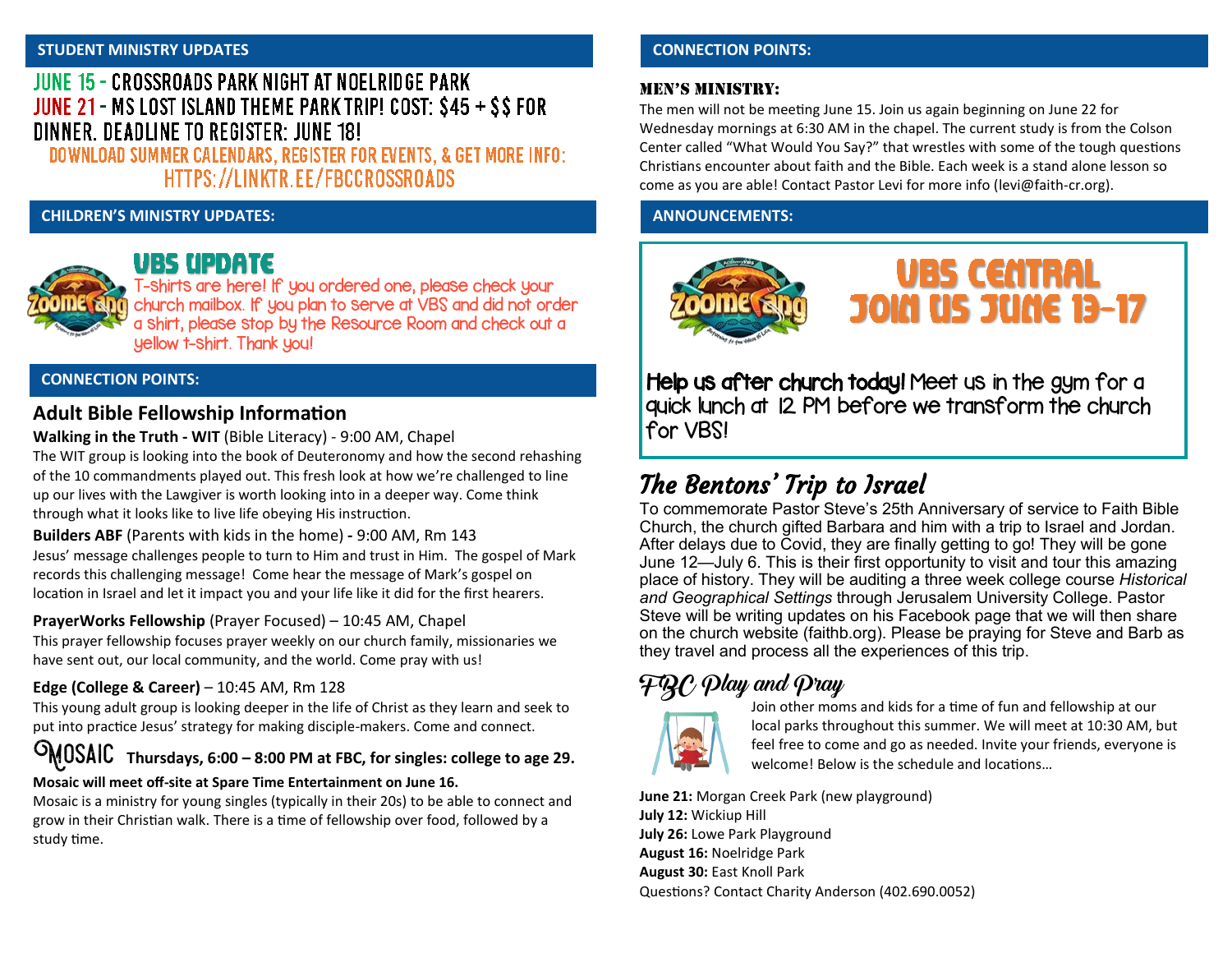#### **STUDENT MINISTRY UPDATES**

## JUNE 15 - CROSSROADS PARK NIGHT AT NOELRIDGE PARK JUNE 21 - MS LOST ISLAND THEME PARK TRIP! COST: \$45 + \$\$ FOR DINNER, DEADLINE TO REGISTER: JUNE 18!

DOWNLOAD SUMMER CALENDARS, REGISTER FOR EVENTS, & GET MORE INFO: HTTPS://LINKTR.EE/FBCCROSSROADS

### **CHILDREN'S MINISTRY UPDATES: ANNOUNCEMENTS:**



### **UBS UPDATE**

T-shirts are here! If you ordered one, please check your church mailbox. If you plan to serve at VBS and did not order a shirt, please stop by the Resource Room and check out a yellow t-shirt. Thank you!

### **CONNECTION POINTS:**

### **Adult Bible Fellowship Information**

### **Walking in the Truth - WIT** (Bible Literacy) - 9:00 AM, Chapel

The WIT group is looking into the book of Deuteronomy and how the second rehashing of the 10 commandments played out. This fresh look at how we're challenged to line up our lives with the Lawgiver is worth looking into in a deeper way. Come think through what it looks like to live life obeying His instruction.

**Builders ABF** (Parents with kids in the home) **-** 9:00 AM, Rm 143 Jesus' message challenges people to turn to Him and trust in Him. The gospel of Mark records this challenging message! Come hear the message of Mark's gospel on location in Israel and let it impact you and your life like it did for the first hearers.

**PrayerWorks Fellowship** (Prayer Focused) – 10:45 AM, Chapel

This prayer fellowship focuses prayer weekly on our church family, missionaries we have sent out, our local community, and the world. Come pray with us!

### **Edge (College & Career)** – 10:45 AM, Rm 128

This young adult group is looking deeper in the life of Christ as they learn and seek to put into practice Jesus' strategy for making disciple-makers. Come and connect.

# Mosaic **Thursdays, 6:00 – 8:00 PM at FBC, for singles: college to age 29.**

### **Mosaic will meet off-site at Spare Time Entertainment on June 16.**

Mosaic is a ministry for young singles (typically in their 20s) to be able to connect and grow in their Christian walk. There is a time of fellowship over food, followed by a study time.

### **CONNECTION POINTS:**

### Men's Ministry:

The men will not be meeting June 15. Join us again beginning on June 22 for Wednesday mornings at 6:30 AM in the chapel. The current study is from the Colson Center called "What Would You Say?" that wrestles with some of the tough questions Christians encounter about faith and the Bible. Each week is a stand alone lesson so come as you are able! Contact Pastor Levi for more info ([levi@faith](mailto:levi@faith-cr.org)-cr.org).



Help us after church today! Meet us in the gym for a quick lunch at 12 PM before we transform the church for VBS!

# The Bentons' Trip to Israel

To commemorate Pastor Steve's 25th Anniversary of service to Faith Bible Church, the church gifted Barbara and him with a trip to Israel and Jordan. After delays due to Covid, they are finally getting to go! They will be gone June 12—July 6. This is their first opportunity to visit and tour this amazing place of history. They will be auditing a three week college course *Historical and Geographical Settings* through Jerusalem University College. Pastor Steve will be writing updates on his Facebook page that we will then share on the church website (faithb.org). Please be praying for Steve and Barb as they travel and process all the experiences of this trip.

# $F\mathcal{R} \mathcal{C}$   $\mathcal{D}$ lay and  $\mathcal{D}$ ray



Join other moms and kids for a time of fun and fellowship at our local parks throughout this summer. We will meet at 10:30 AM, but feel free to come and go as needed. Invite your friends, everyone is welcome! Below is the schedule and locations…

**June 21:** Morgan Creek Park (new playground) **July 12:** Wickiup Hill **July 26:** Lowe Park Playground **August 16:** Noelridge Park **August 30:** East Knoll Park Questions? Contact Charity Anderson (402.690.0052)